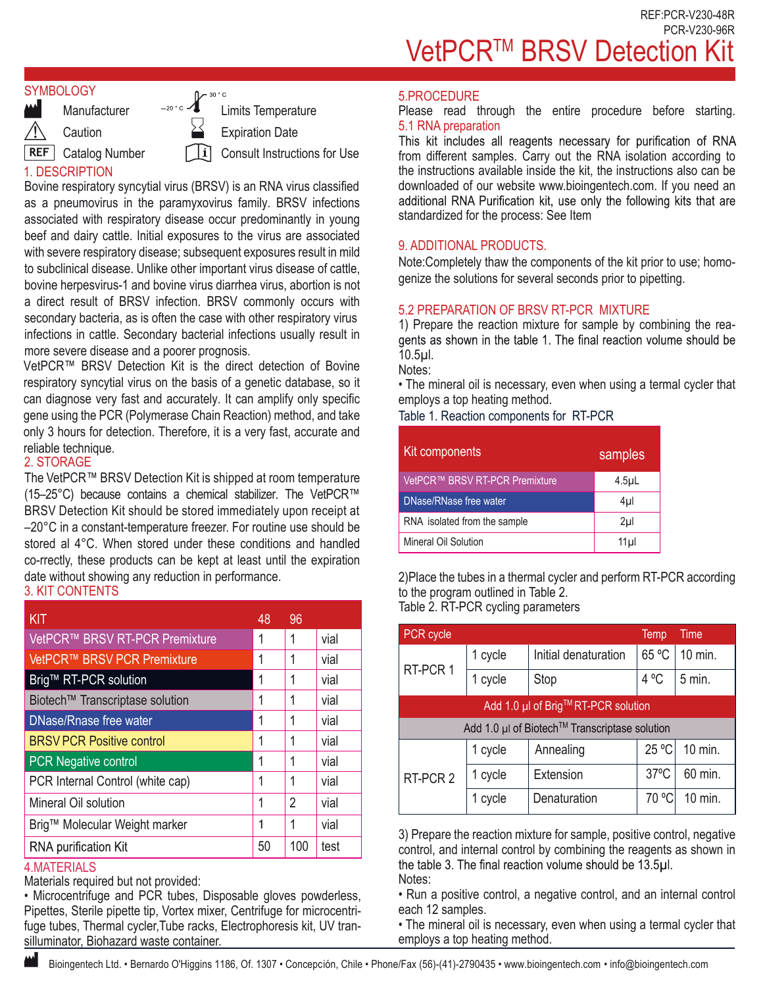#### **SYMBOLOGY**

**Caution** 

**REF** Catalog Number

**Manufacturer** 

1. DESCRIPTION

 $\mathcal{L}^{\text{20-c}}$  Limits Temperature Expiration Date  $\vert i \vert$ Consult Instructions for Use

Bovine respiratory syncytial virus (BRSV) is an RNA virus classified as a pneumovirus in the paramyxovirus family. BRSV infections associated with respiratory disease occur predominantly in young beef and dairy cattle. Initial exposures to the virus are associated with severe respiratory disease; subsequent exposures result in mild to subclinical disease. Unlike other important virus disease of cattle, bovine herpesvirus-1 and bovine virus diarrhea virus, abortion is not a direct result of BRSV infection. BRSV commonly occurs with secondary bacteria, as is often the case with other respiratory virus infections in cattle. Secondary bacterial infections usually result in more severe disease and a poorer prognosis.

VetPCR™ BRSV Detection Kit is the direct detection of Bovine respiratory syncytial virus on the basis of a genetic database, so it can diagnose very fast and accurately. It can amplify only specific gene using the PCR (Polymerase Chain Reaction) method, and take only 3 hours for detection. Therefore, it is a very fast, accurate and reliable technique.

## 2. STORAGE

The VetPCR™ BRSV Detection Kit is shipped at room temperature (15–25°C) because contains a chemical stabilizer. The VetPCR™ BRSV Detection Kit should be stored immediately upon receipt at –20°C in a constant-temperature freezer. For routine use should be stored al 4°C. When stored under these conditions and handled co-rrectly, these products can be kept at least until the expiration date without showing any reduction in performance.

# 3. KIT CONTENTS

| <b>KIT</b>                       | 48 | 96  |      |
|----------------------------------|----|-----|------|
| VetPCR™ BRSV RT-PCR Premixture   |    | 1   | vial |
| VetPCR™ BRSV PCR Premixture      |    | 1   | vial |
| Brig™ RT-PCR solution            |    | 1   | vial |
| Biotech™ Transcriptase solution  | 1  | 1   | vial |
| DNase/Rnase free water           |    | 1   | vial |
| <b>BRSV PCR Positive control</b> |    | 1   | vial |
| <b>PCR Negative control</b>      |    | 1   | vial |
| PCR Internal Control (white cap) |    |     | vial |
| Mineral Oil solution             |    | 2   | vial |
| Brig™ Molecular Weight marker    |    | 1   | vial |
| <b>RNA purification Kit</b>      | 50 | 100 | test |

### 4.MATERIALS

Ш

Materials required but not provided:

• Microcentrifuge and PCR tubes, Disposable gloves powderless, Pipettes, Sterile pipette tip, Vortex mixer, Centrifuge for microcentrifuge tubes, Thermal cycler,Tube racks, Electrophoresis kit, UV transilluminator, Biohazard waste container.

### 5.PROCEDURE

Please read through the entire procedure before starting. 5.1 RNA preparation<br>This kit includes all reagents necessary for purification of RNA

from different samples. Carry out the RNA isolation according to the instructions available inside the kit, the instructions also can be downloaded of our website www.bioingentech.com. If you need an additional RNA Purification kit, use only the following kits that are standardized for the process: See Item

## 9. ADDITIONAL PRODUCTS.

Note:Completely thaw the components of the kit prior to use; homogenize the solutions for several seconds prior to pipetting.

## 5.2 PREPARATION OF BRSV RT-PCR MIXTURE

1) Prepare the reaction mixture for sample by combining the reagents as shown in the table 1. The final reaction volume should be 10.5µl.

Notes:

• The mineral oil is necessary, even when using a termal cycler that employs a top heating method.

Table 1. Reaction components for RT-PCR

| Kit components                 | samples          |
|--------------------------------|------------------|
| VetPCR™ BRSV RT-PCR Premixture | 4.5 <sub>µ</sub> |
| DNase/RNase free water         | 4µl              |
| RNA isolated from the sample   | $2\mu$           |
| Mineral Oil Solution           | 11 <sub>µ</sub>  |

2)Place the tubes in a thermal cycler and perform RT-PCR according to the program outlined in Table 2. Table 2. RT-PCR cycling parameters

| PCR cycle                                     |         |                      | Temp           | Time     |  |
|-----------------------------------------------|---------|----------------------|----------------|----------|--|
|                                               | 1 cycle | Initial denaturation | 65 °C          | 10 min.  |  |
| RT-PCR 1                                      | 1 cycle | Stop                 | $4^{\circ}$ C  | $5$ min. |  |
| Add 1.0 µl of Brig™RT-PCR solution            |         |                      |                |          |  |
| Add 1.0 µl of Biotech™ Transcriptase solution |         |                      |                |          |  |
|                                               | 1 cycle | Annealing            | 25 °C          | 10 min.  |  |
| RT-PCR 2                                      | 1 cycle | Extension            | $37^{\circ}$ C | 60 min.  |  |
|                                               | 1 cycle | Denaturation         | 70 °C          | 10 min.  |  |

3) Prepare the reaction mixture for sample, positive control, negative control, and internal control by combining the reagents as shown in the table 3. The final reaction volume should be 13.5µl. Notes:

• Run a positive control, a negative control, and an internal control each 12 samples.

• The mineral oil is necessary, even when using a termal cycler that employs a top heating method.